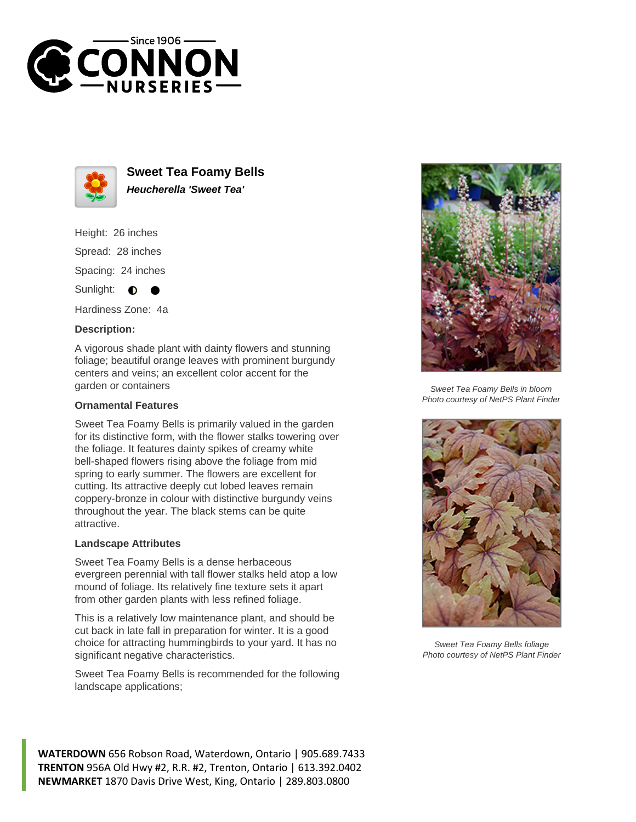



**Sweet Tea Foamy Bells Heucherella 'Sweet Tea'**

Height: 26 inches Spread: 28 inches Spacing: 24 inches Sunlight: **O** 

Hardiness Zone: 4a

## **Description:**

A vigorous shade plant with dainty flowers and stunning foliage; beautiful orange leaves with prominent burgundy centers and veins; an excellent color accent for the garden or containers

## **Ornamental Features**

Sweet Tea Foamy Bells is primarily valued in the garden for its distinctive form, with the flower stalks towering over the foliage. It features dainty spikes of creamy white bell-shaped flowers rising above the foliage from mid spring to early summer. The flowers are excellent for cutting. Its attractive deeply cut lobed leaves remain coppery-bronze in colour with distinctive burgundy veins throughout the year. The black stems can be quite attractive.

## **Landscape Attributes**

Sweet Tea Foamy Bells is a dense herbaceous evergreen perennial with tall flower stalks held atop a low mound of foliage. Its relatively fine texture sets it apart from other garden plants with less refined foliage.

This is a relatively low maintenance plant, and should be cut back in late fall in preparation for winter. It is a good choice for attracting hummingbirds to your yard. It has no significant negative characteristics.

Sweet Tea Foamy Bells is recommended for the following landscape applications;



Sweet Tea Foamy Bells in bloom Photo courtesy of NetPS Plant Finder



Sweet Tea Foamy Bells foliage Photo courtesy of NetPS Plant Finder

**WATERDOWN** 656 Robson Road, Waterdown, Ontario | 905.689.7433 **TRENTON** 956A Old Hwy #2, R.R. #2, Trenton, Ontario | 613.392.0402 **NEWMARKET** 1870 Davis Drive West, King, Ontario | 289.803.0800